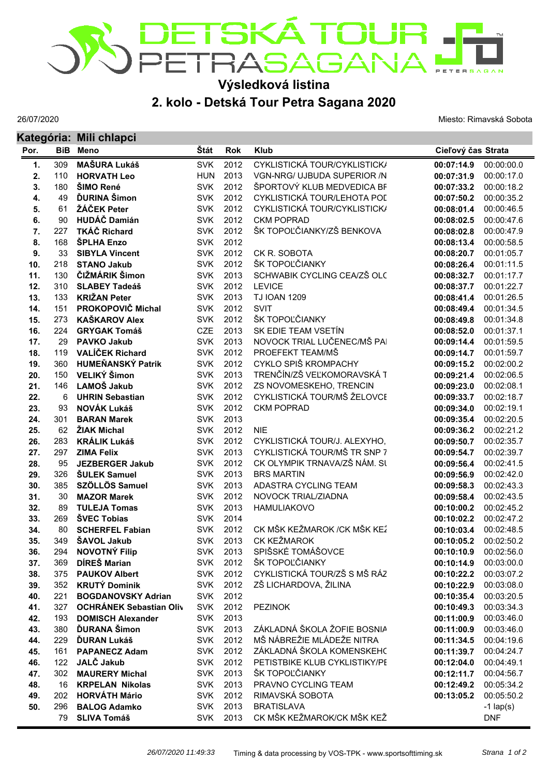

## **Výsledková listina**

**2. kolo - Detská Tour Petra Sagana 2020**

26/07/2020

Miesto: Rimavská Sobota

|            |            | Kategória: Mili chlapci                   |                          |              |                               |                          |                          |  |  |  |
|------------|------------|-------------------------------------------|--------------------------|--------------|-------------------------------|--------------------------|--------------------------|--|--|--|
| Por.       | <b>BiB</b> | <b>Meno</b>                               | Štát                     | Rok          | <b>Klub</b>                   | Cieľový čas Strata       |                          |  |  |  |
| 1.         | 309        | <b>MAŠURA Lukáš</b>                       | <b>SVK</b>               | 2012         | CYKLISTICKÁ TOUR/CYKLISTICK/  | 00:07:14.9               | 00:00:00.0               |  |  |  |
| 2.         | 110        | <b>HORVATH Leo</b>                        | <b>HUN</b>               | 2013         | VGN-NRG/ UJBUDA SUPERIOR /N   | 00:07:31.9               | 00:00:17.0               |  |  |  |
| 3.         | 180        | ŠIMO René                                 | <b>SVK</b>               | 2012         | ŠPORTOVÝ KLUB MEDVEDICA BF    | 00:07:33.2               | 00:00:18.2               |  |  |  |
| 4.         | 49         | <b>ĎURINA</b> Šimon                       | <b>SVK</b>               | 2012         | CYKLISTICKÁ TOUR/LEHOTA POL   | 00:07:50.2               | 00:00:35.2               |  |  |  |
| 5.         | 61         | <b>ŽÁČEK Peter</b>                        | <b>SVK</b>               | 2012         | CYKLISTICKÁ TOUR/CYKLISTICK/  | 00:08:01.4               | 00:00:46.5               |  |  |  |
| 6.         | 90         | <b>HUDÁČ Damián</b>                       | <b>SVK</b>               | 2012         | <b>CKM POPRAD</b>             | 00:08:02.5               | 00:00:47.6               |  |  |  |
| 7.         | 227        | <b>TKÁČ Richard</b>                       | <b>SVK</b>               | 2012         | ŠK TOPOĽČIANKY/ZŠ BENKOVA     | 00:08:02.8               | 00:00:47.9               |  |  |  |
| 8.         | 168        | ŠPLHA Enzo                                | <b>SVK</b>               | 2012         |                               | 00:08:13.4               | 00:00:58.5               |  |  |  |
| 9.         | 33         | <b>SIBYLA Vincent</b>                     | <b>SVK</b>               | 2012         | CK R. SOBOTA                  | 00:08:20.7               | 00:01:05.7               |  |  |  |
| 10.        | 218        | <b>STANO Jakub</b>                        | <b>SVK</b>               | 2012         | ŠK TOPOĽČIANKY                | 00:08:26.4               | 00:01:11.5               |  |  |  |
| 11.        | 130        | ČIŽMÁRIK Šimon                            | <b>SVK</b>               | 2013         | SCHWABIK CYCLING CEA/ZŠ OLC   | 00:08:32.7               | 00:01:17.7               |  |  |  |
| 12.        | 310        | <b>SLABEY Tadeáš</b>                      | <b>SVK</b>               | 2012         | <b>LEVICE</b>                 | 00:08:37.7               | 00:01:22.7               |  |  |  |
| 13.        | 133        | <b>KRIŽAN Peter</b>                       | <b>SVK</b>               | 2013         | <b>TJ IOAN 1209</b>           | 00:08:41.4               | 00:01:26.5               |  |  |  |
| 14.        | 151        | PROKOPOVIČ Michal                         | <b>SVK</b>               | 2012         | <b>SVIT</b>                   | 00:08:49.4               | 00:01:34.5               |  |  |  |
| 15.        | 273        | <b>KAŠKAROV Alex</b>                      | <b>SVK</b>               | 2012         | ŠK TOPOĽČIANKY                | 00:08:49.8               | 00:01:34.8               |  |  |  |
| 16.        | 224        | <b>GRYGAK Tomáš</b>                       | <b>CZE</b>               | 2013         | SK EDIE TEAM VSETÍN           | 00:08:52.0               | 00:01:37.1               |  |  |  |
| 17.        | 29         | <b>PAVKO Jakub</b>                        | <b>SVK</b>               | 2013         | NOVOCK TRIAL LUČENEC/MŠ PAI   | 00:09:14.4               | 00:01:59.5               |  |  |  |
| 18.        | 119        | <b>VALÍČEK Richard</b>                    | <b>SVK</b>               | 2012         | PROEFEKT TEAM/MŠ              | 00:09:14.7               | 00:01:59.7               |  |  |  |
| 19.        | 360        | <b>HUMEŇANSKÝ Patrik</b>                  | <b>SVK</b>               | 2012         | CYKLO SPIŠ KROMPACHY          | 00:09:15.2               | 00:02:00.2               |  |  |  |
| 20.        | 150        | VELIKÝ Šimon                              | <b>SVK</b>               | 2013         | TRENČÍN/ZŠ VEĽKOMORAVSKÁ T    | 00:09:21.4               | 00:02:06.5               |  |  |  |
| 21.        | 146        | LAMOŠ Jakub                               | <b>SVK</b>               | 2012         | ZS NOVOMESKEHO, TRENCIN       | 00:09:23.0               | 00:02:08.1               |  |  |  |
| 22.        | 6          | <b>UHRIN Sebastian</b>                    | <b>SVK</b>               | 2012         | CYKLISTICKÁ TOUR/MŠ ŽELOVCE   | 00:09:33.7               | 00:02:18.7               |  |  |  |
| 23.        | 93         | <b>NOVÁK Lukáš</b>                        | <b>SVK</b>               | 2012         | <b>CKM POPRAD</b>             | 00:09:34.0               | 00:02:19.1               |  |  |  |
| 24.        | 301<br>62  | <b>BARAN Marek</b>                        | <b>SVK</b><br><b>SVK</b> | 2013<br>2012 | <b>NIE</b>                    | 00:09:35.4               | 00:02:20.5               |  |  |  |
| 25.        | 283        | <b>ŽIAK Michal</b><br><b>KRÁLIK Lukáš</b> | <b>SVK</b>               | 2012         | CYKLISTICKÁ TOUR/J. ALEXYHO,  | 00:09:36.2               | 00:02:21.2<br>00:02:35.7 |  |  |  |
| 26.<br>27. | 297        | <b>ZIMA Felix</b>                         | <b>SVK</b>               | 2013         | CYKLISTICKÁ TOUR/MŠ TR SNP 7  | 00:09:50.7               | 00:02:39.7               |  |  |  |
| 28.        | 95         | <b>JEZBERGER Jakub</b>                    | <b>SVK</b>               | 2012         | CK OLYMPIK TRNAVA/ZŠ NÁM. SL  | 00:09:54.7<br>00:09:56.4 | 00:02:41.5               |  |  |  |
| 29.        | 326        | <b>ŠULEK Samuel</b>                       | <b>SVK</b>               | 2013         | <b>BRS MARTIN</b>             | 00:09:56.9               | 00:02:42.0               |  |  |  |
| 30.        | 385        | SZÖLLÖS Samuel                            | <b>SVK</b>               | 2013         | ADASTRA CYCLING TEAM          | 00:09:58.3               | 00:02:43.3               |  |  |  |
| 31.        | 30         | <b>MAZOR Marek</b>                        | <b>SVK</b>               | 2012         | NOVOCK TRIAL/ZIADNA           | 00:09:58.4               | 00:02:43.5               |  |  |  |
| 32.        | 89         | <b>TULEJA Tomas</b>                       | <b>SVK</b>               | 2013         | <b>HAMULIAKOVO</b>            | 00:10:00.2               | 00:02:45.2               |  |  |  |
| 33.        | 269        | <b>ŠVEC Tobias</b>                        | <b>SVK</b>               | 2014         |                               | 00:10:02.2               | 00:02:47.2               |  |  |  |
| 34.        | 80         | <b>SCHERFEL Fabian</b>                    | <b>SVK</b>               | 2012         | CK MŠK KEŽMAROK / CK MŠK KEŽ  | 00:10:03.4               | 00:02:48.5               |  |  |  |
| 35.        | 349        | ŠAVOL Jakub                               | <b>SVK</b>               | 2013         | CK KEŽMAROK                   | 00:10:05.2               | 00:02:50.2               |  |  |  |
| 36.        | 294        | <b>NOVOTNÝ Filip</b>                      | <b>SVK</b>               | 2013         | SPIŠSKÉ TOMÁŠOVCE             | 00:10:10.9               | 00:02:56.0               |  |  |  |
| 37.        | 369        | DÍREŠ Marian                              | <b>SVK</b>               | 2012         | ŠK TOPOĽČIANKY                | 00:10:14.9               | 00:03:00.0               |  |  |  |
| 38.        | 375        | <b>PAUKOV Albert</b>                      | <b>SVK</b>               | 2012         | CYKLISTICKÁ TOUR/ZŠ S MŠ RÁZ  | 00:10:22.2               | 00:03:07.2               |  |  |  |
| 39.        | 352        | <b>KRUTÝ Dominik</b>                      | <b>SVK</b>               | 2012         | ZŠ LICHARDOVA, ŽILINA         | 00:10:22.9               | 00:03:08.0               |  |  |  |
| 40.        | 221        | <b>BOGDANOVSKY Adrian</b>                 | <b>SVK</b>               | 2012         |                               | 00:10:35.4               | 00:03:20.5               |  |  |  |
| 41.        | 327        | <b>OCHRÁNEK Sebastian Oliv</b>            | <b>SVK</b>               | 2012         | <b>PEZINOK</b>                | 00:10:49.3               | 00:03:34.3               |  |  |  |
| 42.        | 193        | <b>DOMISCH Alexander</b>                  | <b>SVK</b>               | 2013         |                               | 00:11:00.9               | 00:03:46.0               |  |  |  |
| 43.        | 380        | <b>ĎURANA</b> Šimon                       | <b>SVK</b>               | 2013         | ZÁKLADNÁ ŠKOLA ŽOFIE BOSNIA   | 00:11:00.9               | 00:03:46.0               |  |  |  |
| 44.        | 229        | <b>ĎURAN Lukáš</b>                        | <b>SVK</b>               | 2012         | MŠ NÁBREŽIE MLÁDEŽE NITRA     | 00:11:34.5               | 00:04:19.6               |  |  |  |
| 45.        | 161        | <b>PAPANECZ Adam</b>                      | <b>SVK</b>               | 2012         | ZÁKLADNÁ ŠKOLA KOMENSKEHC     | 00:11:39.7               | 00:04:24.7               |  |  |  |
| 46.        | 122        | JALČ Jakub                                | <b>SVK</b>               | 2012         | PETISTBIKE KLUB CYKLISTIKY/PE | 00:12:04.0               | 00:04:49.1               |  |  |  |
| 47.        | 302        | <b>MAURERY Michal</b>                     | <b>SVK</b>               | 2013         | ŠK TOPOĽČIANKY                | 00:12:11.7               | 00:04:56.7               |  |  |  |
| 48.        | 16         | <b>KRPELAN Nikolas</b>                    | <b>SVK</b>               | 2013         | PRAVNO CYCLING TEAM           | 00:12:49.2               | 00:05:34.2               |  |  |  |
| 49.        | 202        | <b>HORVÁTH Mário</b>                      | <b>SVK</b>               | 2012         | RIMAVSKÁ SOBOTA               | 00:13:05.2               | 00:05:50.2               |  |  |  |
| 50.        | 296        | <b>BALOG Adamko</b>                       | <b>SVK</b>               | 2013         | <b>BRATISLAVA</b>             |                          | $-1$ lap(s)              |  |  |  |
|            | 79         | <b>SLIVA Tomáš</b>                        | <b>SVK</b>               | 2013         | CK MŠK KEŽMAROK/CK MŠK KEŽ    |                          | <b>DNF</b>               |  |  |  |